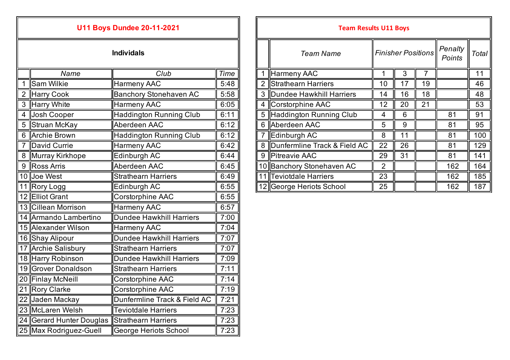| <b>U11 Boys Dundee 20-11-2021</b> |                          |                                 |      |                | <b>Team Results U11 Boys</b>   |                |                |  |  |  |
|-----------------------------------|--------------------------|---------------------------------|------|----------------|--------------------------------|----------------|----------------|--|--|--|
| <b>Individals</b>                 |                          |                                 |      |                | <b>Team Name</b>               | Finisher P     |                |  |  |  |
|                                   | Name                     | Club                            | Time |                | 1 Harmeny AAC                  | 1              | $\mathbf{3}$   |  |  |  |
| 1                                 | <b>Sam Wilkie</b>        | Harmeny AAC                     | 5:48 | $\overline{2}$ | Strathearn Harriers            | 10             | 17             |  |  |  |
|                                   | 2 Harry Cook             | <b>Banchory Stonehaven AC</b>   | 5:58 |                | 3 Dundee Hawkhill Harriers     | 14             | 16             |  |  |  |
|                                   | 3 Harry White            | <b>Harmeny AAC</b>              | 6:05 |                | 4 Corstorphine AAC             | 12             | 20             |  |  |  |
| $\overline{4}$                    | Josh Cooper              | <b>Haddington Running Club</b>  | 6:11 |                | 5 Haddington Running Club      | 4              | $6\phantom{1}$ |  |  |  |
| 5                                 | Struan McKay             | Aberdeen AAC                    | 6:12 |                | 6 Aberdeen AAC                 | 5              | 9              |  |  |  |
| 6                                 | <b>Archie Brown</b>      | <b>Haddington Running Club</b>  | 6:12 |                | 7 Edinburgh AC                 | 8              | 11             |  |  |  |
| 7                                 | David Currie             | <b>Harmeny AAC</b>              | 6:42 |                | 8 Dunfermline Track & Field AC | 22             | 26             |  |  |  |
|                                   | 8 Murray Kirkhope        | Edinburgh AC                    | 6:44 |                | 9 Pitreavie AAC                | 29             | 31             |  |  |  |
| 9                                 | Ross Arris               | Aberdeen AAC                    | 6:45 |                | 10 Banchory Stonehaven AC      | $\overline{2}$ |                |  |  |  |
|                                   | 10 Joe West              | <b>Strathearn Harriers</b>      | 6:49 |                | 11 Teviotdale Harriers         | 23             |                |  |  |  |
|                                   | 11 Rory Logg             | Edinburgh AC                    | 6:55 |                | 12 George Heriots School       | 25             |                |  |  |  |
|                                   | 12 Elliot Grant          | Corstorphine AAC                | 6:55 |                |                                |                |                |  |  |  |
|                                   | 13 Cillean Morrison      | <b>Harmeny AAC</b>              | 6:57 |                |                                |                |                |  |  |  |
|                                   | 14 Armando Lambertino    | Dundee Hawkhill Harriers        | 7:00 |                |                                |                |                |  |  |  |
|                                   | 15 Alexander Wilson      | <b>Harmeny AAC</b>              | 7:04 |                |                                |                |                |  |  |  |
|                                   | 16 Shay Alipour          | <b>Dundee Hawkhill Harriers</b> | 7:07 |                |                                |                |                |  |  |  |
|                                   | 17 Archie Salisbury      | <b>Strathearn Harriers</b>      | 7:07 |                |                                |                |                |  |  |  |
|                                   | 18 Harry Robinson        | <b>Dundee Hawkhill Harriers</b> | 7:09 |                |                                |                |                |  |  |  |
|                                   | 19 Grover Donaldson      | <b>Strathearn Harriers</b>      | 7:11 |                |                                |                |                |  |  |  |
|                                   | 20 Finlay McNeill        | Corstorphine AAC                | 7:14 |                |                                |                |                |  |  |  |
|                                   | 21 Rory Clarke           | Corstorphine AAC                | 7:19 |                |                                |                |                |  |  |  |
|                                   | 22 Jaden Mackay          | Dunfermline Track & Field AC    | 7:21 |                |                                |                |                |  |  |  |
|                                   | 23 McLaren Welsh         | <b>Teviotdale Harriers</b>      | 7:23 |                |                                |                |                |  |  |  |
|                                   | 24 Gerard Hunter Douglas | Strathearn Harriers             | 7:23 |                |                                |                |                |  |  |  |
|                                   | 25 Max Rodriguez-Guell   | George Heriots School           | 7:23 |                |                                |                |                |  |  |  |

| U11 BOYS DUNGE 20-11-2021 |                   |                               |             |                  | Team Results U11 Boys        |                |    |                   |       |     |
|---------------------------|-------------------|-------------------------------|-------------|------------------|------------------------------|----------------|----|-------------------|-------|-----|
| <b>Individals</b>         |                   |                               |             | <b>Team Name</b> | <b>Finisher Positions</b>    |                |    | Penalty<br>Points | Total |     |
|                           | Name              | Club                          | <b>Time</b> |                  | Harmeny AAC                  |                | 3  |                   |       | 11  |
|                           | Sam Wilkie        | Harmeny AAC                   | 5:48        |                  | Strathearn Harriers          | 10             | 17 | 19                |       | 46  |
| 2                         | Harry Cook        | <b>Banchory Stonehaven AC</b> | 5:58        | 3                | Dundee Hawkhill Harriers     | 14             | 16 | 18                |       | 48  |
|                           | 3 Harry White     | <b>Harmeny AAC</b>            | 6:05        |                  | 4 Corstorphine AAC           | 12             | 20 | 21                |       | 53  |
|                           | 4 Josh Cooper     | Haddington Running Club       | 6:11        |                  | 5 Haddington Running Club    | 4              | 6  |                   | 81    | 91  |
|                           | 5 Struan McKay    | Aberdeen AAC                  | 6:12        |                  | 6 Aberdeen AAC               | 5              | 9  |                   | 81    | 95  |
|                           | 6 Archie Brown    | Haddington Running Club       | 6:12        |                  | Edinburgh AC                 | 8              | 11 |                   | 81    | 100 |
|                           | 7 David Currie    | <b>Harmeny AAC</b>            | 6:42        | 8                | Dunfermline Track & Field AC | 22             | 26 |                   | 81    | 129 |
|                           | 8 Murray Kirkhope | Edinburgh AC                  | 6:44        | 9                | Pitreavie AAC                | 29             | 31 |                   | 81    | 141 |
|                           | 9 Ross Arris      | Aberdeen AAC                  | 6:45        |                  | 10 Banchory Stonehaven AC    | $\overline{2}$ |    |                   | 162   | 164 |
|                           | 10 Joe West       | <b>Strathearn Harriers</b>    | 6:49        |                  | I Teviotdale Harriers        | 23             |    |                   | 162   | 185 |
|                           | 11 Rory Logg      | Edinburgh AC                  | 6:55        |                  | 12 George Heriots School     | 25             |    |                   | 162   | 187 |